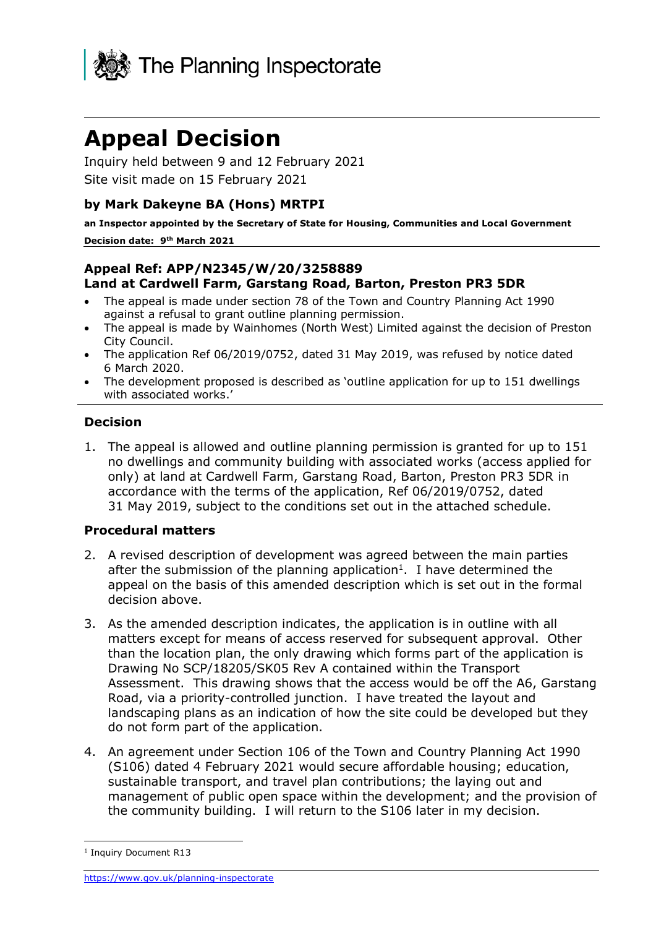

# **Appeal Decision**

Inquiry held between 9 and 12 February 2021 Site visit made on 15 February 2021

### **by Mark Dakeyne BA (Hons) MRTPI**

**an Inspector appointed by the Secretary of State for Housing, Communities and Local Government Decision date: 9 th March 2021**

#### **Appeal Ref: APP/N2345/W/20/3258889 Land at Cardwell Farm, Garstang Road, Barton, Preston PR3 5DR**

- The appeal is made under section 78 of the Town and Country Planning Act 1990 against a refusal to grant outline planning permission.
- The appeal is made by Wainhomes (North West) Limited against the decision of Preston City Council.
- The application Ref 06/2019/0752, dated 31 May 2019, was refused by notice dated 6 March 2020.
- The development proposed is described as 'outline application for up to 151 dwellings with associated works.'

#### **Decision**

1. The appeal is allowed and outline planning permission is granted for up to 151 no dwellings and community building with associated works (access applied for only) at land at Cardwell Farm, Garstang Road, Barton, Preston PR3 5DR in accordance with the terms of the application, Ref 06/2019/0752, dated 31 May 2019, subject to the conditions set out in the attached schedule.

#### **Procedural matters**

- 2. A revised description of development was agreed between the main parties after the submission of the planning application<sup>1</sup>. I have determined the appeal on the basis of this amended description which is set out in the formal decision above.
- 3. As the amended description indicates, the application is in outline with all matters except for means of access reserved for subsequent approval. Other than the location plan, the only drawing which forms part of the application is Drawing No SCP/18205/SK05 Rev A contained within the Transport Assessment. This drawing shows that the access would be off the A6, Garstang Road, via a priority-controlled junction. I have treated the layout and landscaping plans as an indication of how the site could be developed but they do not form part of the application.
- 4. An agreement under Section 106 of the Town and Country Planning Act 1990 (S106) dated 4 February 2021 would secure affordable housing; education, sustainable transport, and travel plan contributions; the laying out and management of public open space within the development; and the provision of the community building. I will return to the S106 later in my decision.

<sup>&</sup>lt;sup>1</sup> Inquiry Document R13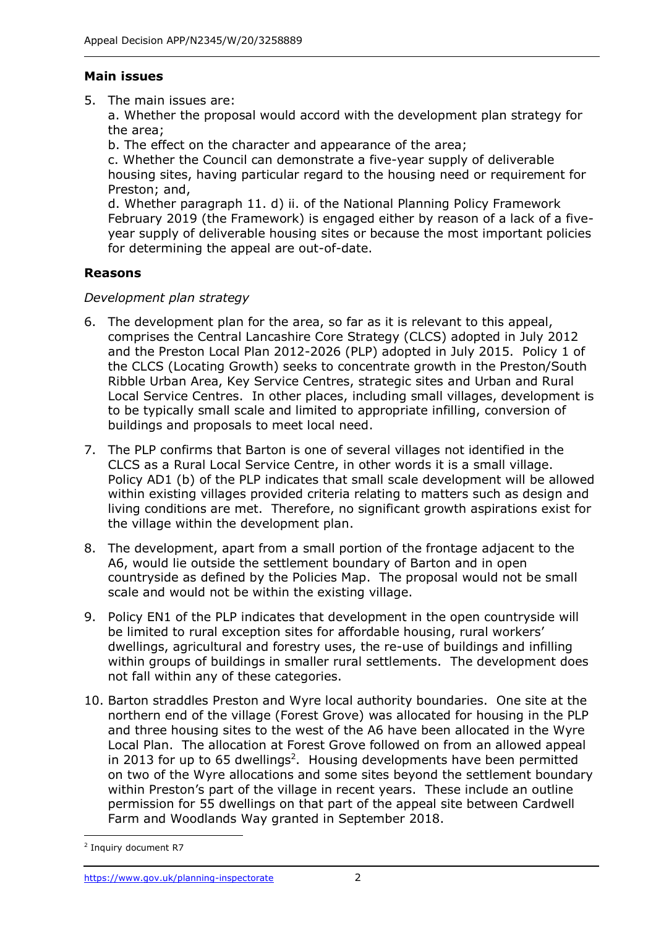#### **Main issues**

5. The main issues are:

a. Whether the proposal would accord with the development plan strategy for the area;

b. The effect on the character and appearance of the area;

c. Whether the Council can demonstrate a five-year supply of deliverable housing sites, having particular regard to the housing need or requirement for Preston; and,

d. Whether paragraph 11. d) ii. of the National Planning Policy Framework February 2019 (the Framework) is engaged either by reason of a lack of a fiveyear supply of deliverable housing sites or because the most important policies for determining the appeal are out-of-date.

## **Reasons**

### *Development plan strategy*

- 6. The development plan for the area, so far as it is relevant to this appeal, comprises the Central Lancashire Core Strategy (CLCS) adopted in July 2012 and the Preston Local Plan 2012-2026 (PLP) adopted in July 2015. Policy 1 of the CLCS (Locating Growth) seeks to concentrate growth in the Preston/South Ribble Urban Area, Key Service Centres, strategic sites and Urban and Rural Local Service Centres. In other places, including small villages, development is to be typically small scale and limited to appropriate infilling, conversion of buildings and proposals to meet local need.
- 7. The PLP confirms that Barton is one of several villages not identified in the CLCS as a Rural Local Service Centre, in other words it is a small village. Policy AD1 (b) of the PLP indicates that small scale development will be allowed within existing villages provided criteria relating to matters such as design and living conditions are met. Therefore, no significant growth aspirations exist for the village within the development plan.
- 8. The development, apart from a small portion of the frontage adjacent to the A6, would lie outside the settlement boundary of Barton and in open countryside as defined by the Policies Map. The proposal would not be small scale and would not be within the existing village.
- 9. Policy EN1 of the PLP indicates that development in the open countryside will be limited to rural exception sites for affordable housing, rural workers' dwellings, agricultural and forestry uses, the re-use of buildings and infilling within groups of buildings in smaller rural settlements. The development does not fall within any of these categories.
- 10. Barton straddles Preston and Wyre local authority boundaries. One site at the northern end of the village (Forest Grove) was allocated for housing in the PLP and three housing sites to the west of the A6 have been allocated in the Wyre Local Plan. The allocation at Forest Grove followed on from an allowed appeal in 2013 for up to 65 dwellings<sup>2</sup>. Housing developments have been permitted on two of the Wyre allocations and some sites beyond the settlement boundary within Preston's part of the village in recent years. These include an outline permission for 55 dwellings on that part of the appeal site between Cardwell Farm and Woodlands Way granted in September 2018.

<sup>2</sup> Inquiry document R7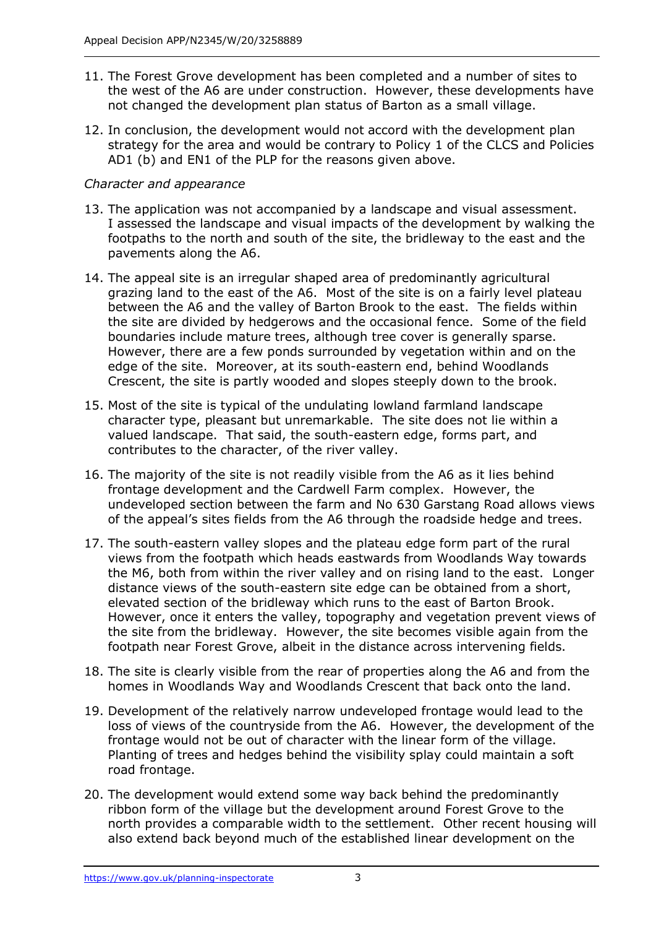- 11. The Forest Grove development has been completed and a number of sites to the west of the A6 are under construction. However, these developments have not changed the development plan status of Barton as a small village.
- 12. In conclusion, the development would not accord with the development plan strategy for the area and would be contrary to Policy 1 of the CLCS and Policies AD1 (b) and EN1 of the PLP for the reasons given above.

## *Character and appearance*

- 13. The application was not accompanied by a landscape and visual assessment. I assessed the landscape and visual impacts of the development by walking the footpaths to the north and south of the site, the bridleway to the east and the pavements along the A6.
- 14. The appeal site is an irregular shaped area of predominantly agricultural grazing land to the east of the A6. Most of the site is on a fairly level plateau between the A6 and the valley of Barton Brook to the east. The fields within the site are divided by hedgerows and the occasional fence. Some of the field boundaries include mature trees, although tree cover is generally sparse. However, there are a few ponds surrounded by vegetation within and on the edge of the site. Moreover, at its south-eastern end, behind Woodlands Crescent, the site is partly wooded and slopes steeply down to the brook.
- 15. Most of the site is typical of the undulating lowland farmland landscape character type, pleasant but unremarkable. The site does not lie within a valued landscape. That said, the south-eastern edge, forms part, and contributes to the character, of the river valley.
- 16. The majority of the site is not readily visible from the A6 as it lies behind frontage development and the Cardwell Farm complex. However, the undeveloped section between the farm and No 630 Garstang Road allows views of the appeal's sites fields from the A6 through the roadside hedge and trees.
- 17. The south-eastern valley slopes and the plateau edge form part of the rural views from the footpath which heads eastwards from Woodlands Way towards the M6, both from within the river valley and on rising land to the east. Longer distance views of the south-eastern site edge can be obtained from a short, elevated section of the bridleway which runs to the east of Barton Brook. However, once it enters the valley, topography and vegetation prevent views of the site from the bridleway. However, the site becomes visible again from the footpath near Forest Grove, albeit in the distance across intervening fields.
- 18. The site is clearly visible from the rear of properties along the A6 and from the homes in Woodlands Way and Woodlands Crescent that back onto the land.
- 19. Development of the relatively narrow undeveloped frontage would lead to the loss of views of the countryside from the A6. However, the development of the frontage would not be out of character with the linear form of the village. Planting of trees and hedges behind the visibility splay could maintain a soft road frontage.
- 20. The development would extend some way back behind the predominantly ribbon form of the village but the development around Forest Grove to the north provides a comparable width to the settlement. Other recent housing will also extend back beyond much of the established linear development on the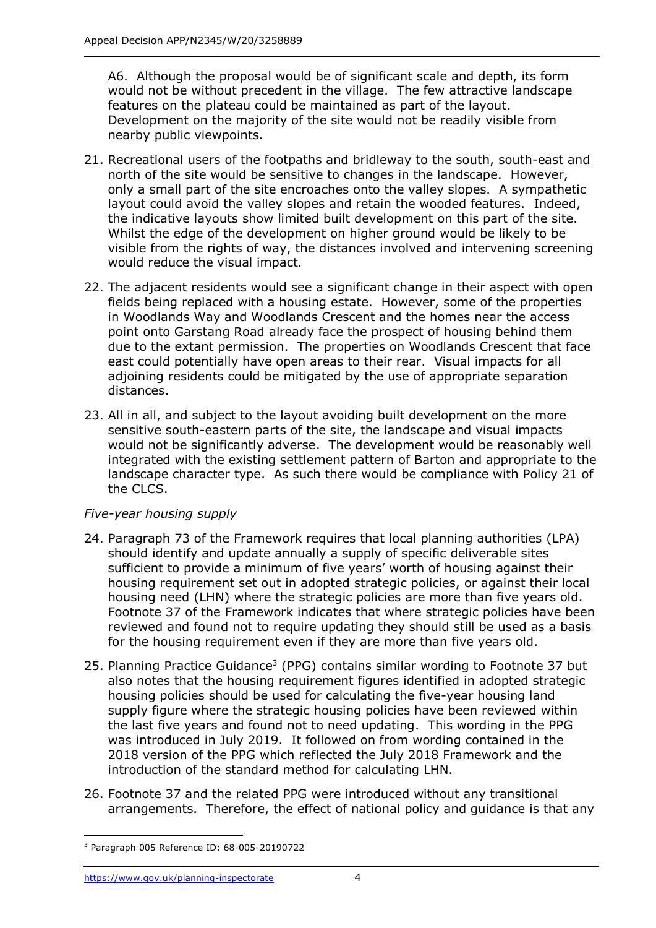A6. Although the proposal would be of significant scale and depth, its form would not be without precedent in the village. The few attractive landscape features on the plateau could be maintained as part of the layout. Development on the majority of the site would not be readily visible from nearby public viewpoints.

- 21. Recreational users of the footpaths and bridleway to the south, south-east and north of the site would be sensitive to changes in the landscape. However, only a small part of the site encroaches onto the valley slopes. A sympathetic layout could avoid the valley slopes and retain the wooded features. Indeed, the indicative layouts show limited built development on this part of the site. Whilst the edge of the development on higher ground would be likely to be visible from the rights of way, the distances involved and intervening screening would reduce the visual impact.
- 22. The adjacent residents would see a significant change in their aspect with open fields being replaced with a housing estate. However, some of the properties in Woodlands Way and Woodlands Crescent and the homes near the access point onto Garstang Road already face the prospect of housing behind them due to the extant permission. The properties on Woodlands Crescent that face east could potentially have open areas to their rear. Visual impacts for all adjoining residents could be mitigated by the use of appropriate separation distances.
- 23. All in all, and subject to the layout avoiding built development on the more sensitive south-eastern parts of the site, the landscape and visual impacts would not be significantly adverse. The development would be reasonably well integrated with the existing settlement pattern of Barton and appropriate to the landscape character type. As such there would be compliance with Policy 21 of the CLCS.

## *Five-year housing supply*

- 24. Paragraph 73 of the Framework requires that local planning authorities (LPA) should identify and update annually a supply of specific deliverable sites sufficient to provide a minimum of five years' worth of housing against their housing requirement set out in adopted strategic policies, or against their local housing need (LHN) where the strategic policies are more than five years old. Footnote 37 of the Framework indicates that where strategic policies have been reviewed and found not to require updating they should still be used as a basis for the housing requirement even if they are more than five years old.
- 25. Planning Practice Guidance<sup>3</sup> (PPG) contains similar wording to Footnote 37 but also notes that the housing requirement figures identified in adopted strategic housing policies should be used for calculating the five-year housing land supply figure where the strategic housing policies have been reviewed within the last five years and found not to need updating. This wording in the PPG was introduced in July 2019. It followed on from wording contained in the 2018 version of the PPG which reflected the July 2018 Framework and the introduction of the standard method for calculating LHN.
- 26. Footnote 37 and the related PPG were introduced without any transitional arrangements. Therefore, the effect of national policy and guidance is that any

<sup>3</sup> Paragraph 005 Reference ID: 68-005-20190722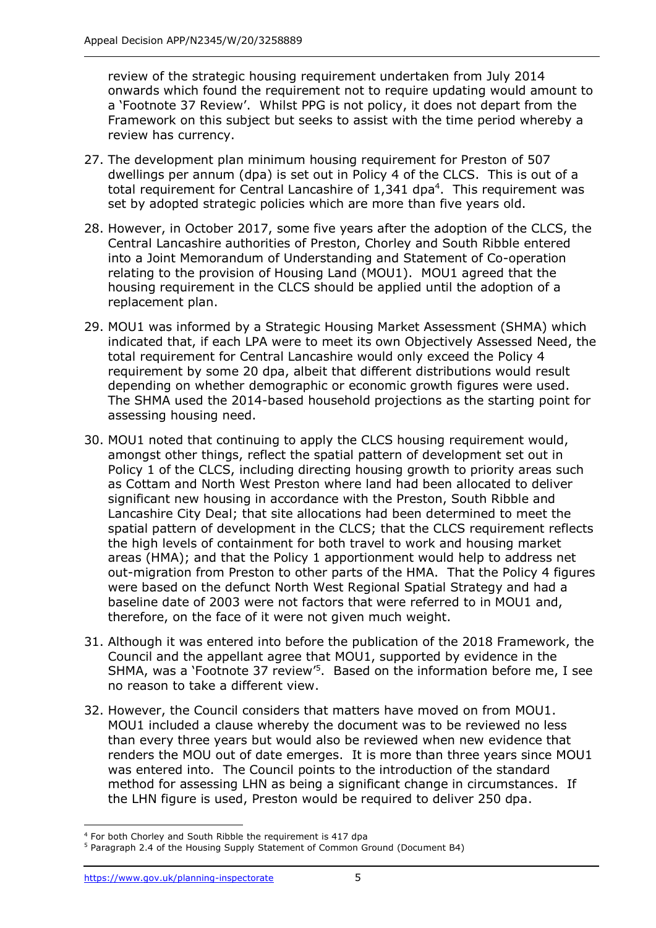review of the strategic housing requirement undertaken from July 2014 onwards which found the requirement not to require updating would amount to a 'Footnote 37 Review'. Whilst PPG is not policy, it does not depart from the Framework on this subject but seeks to assist with the time period whereby a review has currency.

- 27. The development plan minimum housing requirement for Preston of 507 dwellings per annum (dpa) is set out in Policy 4 of the CLCS. This is out of a total requirement for Central Lancashire of  $1,341$  dpa<sup>4</sup>. This requirement was set by adopted strategic policies which are more than five years old.
- 28. However, in October 2017, some five years after the adoption of the CLCS, the Central Lancashire authorities of Preston, Chorley and South Ribble entered into a Joint Memorandum of Understanding and Statement of Co-operation relating to the provision of Housing Land (MOU1). MOU1 agreed that the housing requirement in the CLCS should be applied until the adoption of a replacement plan.
- 29. MOU1 was informed by a Strategic Housing Market Assessment (SHMA) which indicated that, if each LPA were to meet its own Objectively Assessed Need, the total requirement for Central Lancashire would only exceed the Policy 4 requirement by some 20 dpa, albeit that different distributions would result depending on whether demographic or economic growth figures were used. The SHMA used the 2014-based household projections as the starting point for assessing housing need.
- 30. MOU1 noted that continuing to apply the CLCS housing requirement would, amongst other things, reflect the spatial pattern of development set out in Policy 1 of the CLCS, including directing housing growth to priority areas such as Cottam and North West Preston where land had been allocated to deliver significant new housing in accordance with the Preston, South Ribble and Lancashire City Deal; that site allocations had been determined to meet the spatial pattern of development in the CLCS; that the CLCS requirement reflects the high levels of containment for both travel to work and housing market areas (HMA); and that the Policy 1 apportionment would help to address net out-migration from Preston to other parts of the HMA. That the Policy 4 figures were based on the defunct North West Regional Spatial Strategy and had a baseline date of 2003 were not factors that were referred to in MOU1 and, therefore, on the face of it were not given much weight.
- 31. Although it was entered into before the publication of the 2018 Framework, the Council and the appellant agree that MOU1, supported by evidence in the SHMA, was a 'Footnote 37 review'<sup>5</sup>. Based on the information before me, I see no reason to take a different view.
- 32. However, the Council considers that matters have moved on from MOU1. MOU1 included a clause whereby the document was to be reviewed no less than every three years but would also be reviewed when new evidence that renders the MOU out of date emerges. It is more than three years since MOU1 was entered into. The Council points to the introduction of the standard method for assessing LHN as being a significant change in circumstances. If the LHN figure is used, Preston would be required to deliver 250 dpa.

<sup>4</sup> For both Chorley and South Ribble the requirement is 417 dpa

<sup>5</sup> Paragraph 2.4 of the Housing Supply Statement of Common Ground (Document B4)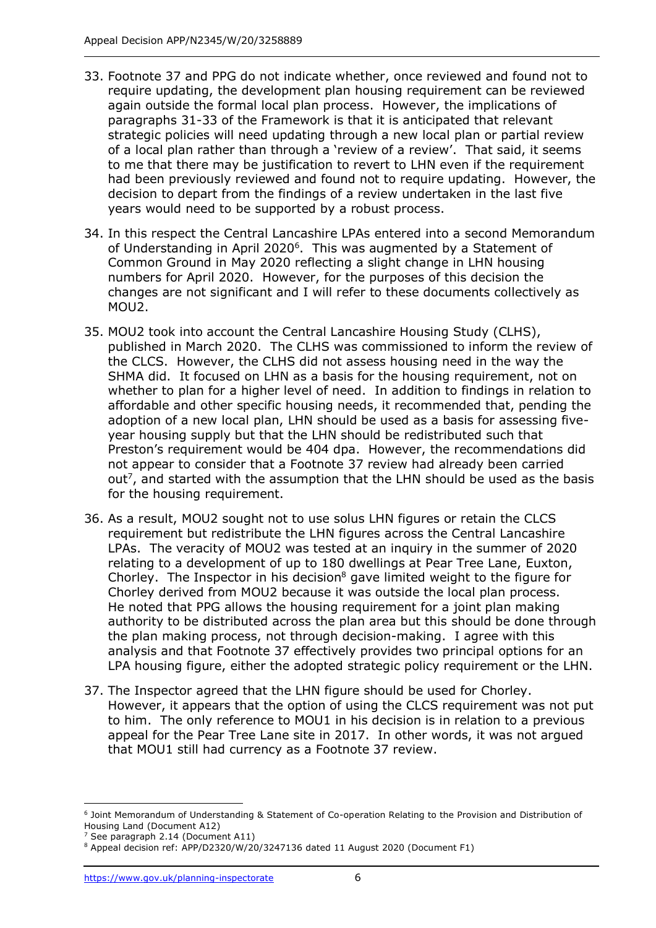- 33. Footnote 37 and PPG do not indicate whether, once reviewed and found not to require updating, the development plan housing requirement can be reviewed again outside the formal local plan process. However, the implications of paragraphs 31-33 of the Framework is that it is anticipated that relevant strategic policies will need updating through a new local plan or partial review of a local plan rather than through a 'review of a review'. That said, it seems to me that there may be justification to revert to LHN even if the requirement had been previously reviewed and found not to require updating. However, the decision to depart from the findings of a review undertaken in the last five years would need to be supported by a robust process.
- 34. In this respect the Central Lancashire LPAs entered into a second Memorandum of Understanding in April 2020<sup>6</sup>. This was augmented by a Statement of Common Ground in May 2020 reflecting a slight change in LHN housing numbers for April 2020. However, for the purposes of this decision the changes are not significant and I will refer to these documents collectively as MOU2.
- 35. MOU2 took into account the Central Lancashire Housing Study (CLHS), published in March 2020. The CLHS was commissioned to inform the review of the CLCS. However, the CLHS did not assess housing need in the way the SHMA did. It focused on LHN as a basis for the housing requirement, not on whether to plan for a higher level of need. In addition to findings in relation to affordable and other specific housing needs, it recommended that, pending the adoption of a new local plan, LHN should be used as a basis for assessing fiveyear housing supply but that the LHN should be redistributed such that Preston's requirement would be 404 dpa. However, the recommendations did not appear to consider that a Footnote 37 review had already been carried out<sup>7</sup>, and started with the assumption that the LHN should be used as the basis for the housing requirement.
- 36. As a result, MOU2 sought not to use solus LHN figures or retain the CLCS requirement but redistribute the LHN figures across the Central Lancashire LPAs. The veracity of MOU2 was tested at an inquiry in the summer of 2020 relating to a development of up to 180 dwellings at Pear Tree Lane, Euxton, Chorley. The Inspector in his decision<sup>8</sup> gave limited weight to the figure for Chorley derived from MOU2 because it was outside the local plan process. He noted that PPG allows the housing requirement for a joint plan making authority to be distributed across the plan area but this should be done through the plan making process, not through decision-making. I agree with this analysis and that Footnote 37 effectively provides two principal options for an LPA housing figure, either the adopted strategic policy requirement or the LHN.
- 37. The Inspector agreed that the LHN figure should be used for Chorley. However, it appears that the option of using the CLCS requirement was not put to him. The only reference to MOU1 in his decision is in relation to a previous appeal for the Pear Tree Lane site in 2017. In other words, it was not argued that MOU1 still had currency as a Footnote 37 review.

<sup>6</sup> Joint Memorandum of Understanding & Statement of Co-operation Relating to the Provision and Distribution of Housing Land (Document A12)

See paragraph 2.14 (Document A11)

<sup>8</sup> Appeal decision ref: APP/D2320/W/20/3247136 dated 11 August 2020 (Document F1)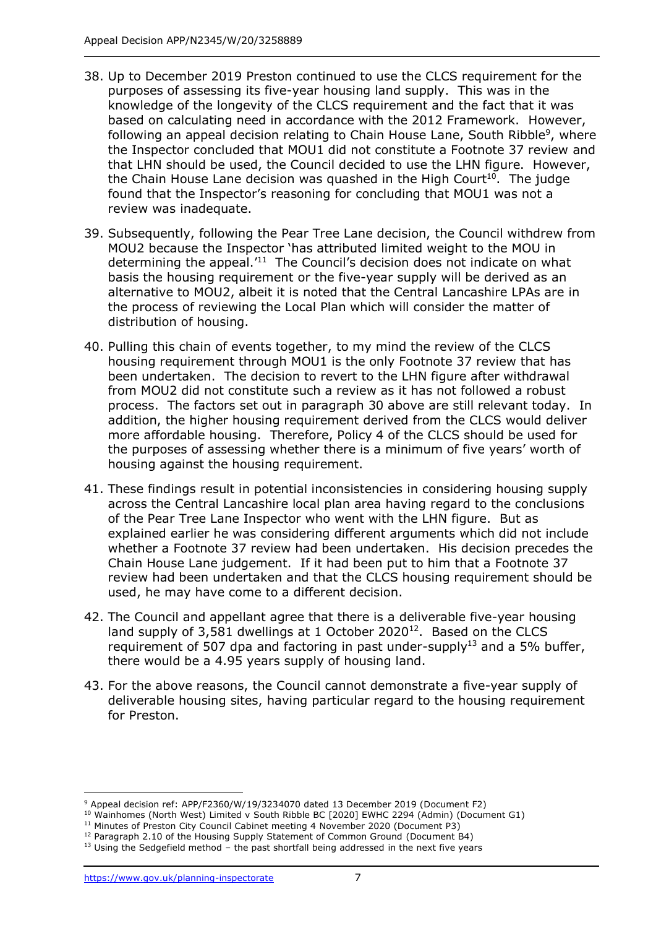- 38. Up to December 2019 Preston continued to use the CLCS requirement for the purposes of assessing its five-year housing land supply. This was in the knowledge of the longevity of the CLCS requirement and the fact that it was based on calculating need in accordance with the 2012 Framework. However, following an appeal decision relating to Chain House Lane, South Ribble<sup>9</sup>, where the Inspector concluded that MOU1 did not constitute a Footnote 37 review and that LHN should be used, the Council decided to use the LHN figure. However, the Chain House Lane decision was quashed in the High Court<sup>10</sup>. The judge found that the Inspector's reasoning for concluding that MOU1 was not a review was inadequate.
- 39. Subsequently, following the Pear Tree Lane decision, the Council withdrew from MOU2 because the Inspector 'has attributed limited weight to the MOU in determining the appeal.<sup>'11</sup> The Council's decision does not indicate on what basis the housing requirement or the five-year supply will be derived as an alternative to MOU2, albeit it is noted that the Central Lancashire LPAs are in the process of reviewing the Local Plan which will consider the matter of distribution of housing.
- 40. Pulling this chain of events together, to my mind the review of the CLCS housing requirement through MOU1 is the only Footnote 37 review that has been undertaken. The decision to revert to the LHN figure after withdrawal from MOU2 did not constitute such a review as it has not followed a robust process. The factors set out in paragraph 30 above are still relevant today. In addition, the higher housing requirement derived from the CLCS would deliver more affordable housing. Therefore, Policy 4 of the CLCS should be used for the purposes of assessing whether there is a minimum of five years' worth of housing against the housing requirement.
- 41. These findings result in potential inconsistencies in considering housing supply across the Central Lancashire local plan area having regard to the conclusions of the Pear Tree Lane Inspector who went with the LHN figure. But as explained earlier he was considering different arguments which did not include whether a Footnote 37 review had been undertaken. His decision precedes the Chain House Lane judgement. If it had been put to him that a Footnote 37 review had been undertaken and that the CLCS housing requirement should be used, he may have come to a different decision.
- 42. The Council and appellant agree that there is a deliverable five-year housing land supply of  $3,581$  dwellings at 1 October 2020<sup>12</sup>. Based on the CLCS requirement of 507 dpa and factoring in past under-supply<sup>13</sup> and a 5% buffer, there would be a 4.95 years supply of housing land.
- 43. For the above reasons, the Council cannot demonstrate a five-year supply of deliverable housing sites, having particular regard to the housing requirement for Preston.

<sup>9</sup> Appeal decision ref: APP/F2360/W/19/3234070 dated 13 December 2019 (Document F2)

<sup>&</sup>lt;sup>10</sup> Wainhomes (North West) Limited v South Ribble BC [2020] EWHC 2294 (Admin) (Document G1)

<sup>&</sup>lt;sup>11</sup> Minutes of Preston City Council Cabinet meeting 4 November 2020 (Document P3)

<sup>&</sup>lt;sup>12</sup> Paragraph 2.10 of the Housing Supply Statement of Common Ground (Document B4)

 $13$  Using the Sedgefield method – the past shortfall being addressed in the next five years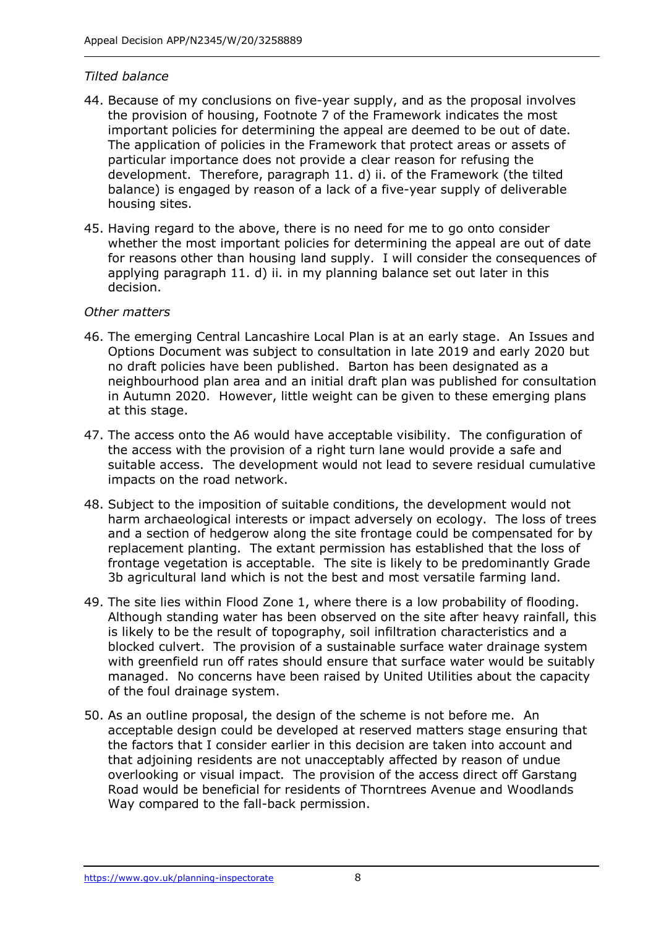#### *Tilted balance*

- 44. Because of my conclusions on five-year supply, and as the proposal involves the provision of housing, Footnote 7 of the Framework indicates the most important policies for determining the appeal are deemed to be out of date. The application of policies in the Framework that protect areas or assets of particular importance does not provide a clear reason for refusing the development. Therefore, paragraph 11. d) ii. of the Framework (the tilted balance) is engaged by reason of a lack of a five-year supply of deliverable housing sites.
- 45. Having regard to the above, there is no need for me to go onto consider whether the most important policies for determining the appeal are out of date for reasons other than housing land supply. I will consider the consequences of applying paragraph 11. d) ii. in my planning balance set out later in this decision.

### *Other matters*

- 46. The emerging Central Lancashire Local Plan is at an early stage. An Issues and Options Document was subject to consultation in late 2019 and early 2020 but no draft policies have been published. Barton has been designated as a neighbourhood plan area and an initial draft plan was published for consultation in Autumn 2020. However, little weight can be given to these emerging plans at this stage.
- 47. The access onto the A6 would have acceptable visibility. The configuration of the access with the provision of a right turn lane would provide a safe and suitable access. The development would not lead to severe residual cumulative impacts on the road network.
- 48. Subject to the imposition of suitable conditions, the development would not harm archaeological interests or impact adversely on ecology. The loss of trees and a section of hedgerow along the site frontage could be compensated for by replacement planting. The extant permission has established that the loss of frontage vegetation is acceptable. The site is likely to be predominantly Grade 3b agricultural land which is not the best and most versatile farming land.
- 49. The site lies within Flood Zone 1, where there is a low probability of flooding. Although standing water has been observed on the site after heavy rainfall, this is likely to be the result of topography, soil infiltration characteristics and a blocked culvert. The provision of a sustainable surface water drainage system with greenfield run off rates should ensure that surface water would be suitably managed. No concerns have been raised by United Utilities about the capacity of the foul drainage system.
- 50. As an outline proposal, the design of the scheme is not before me. An acceptable design could be developed at reserved matters stage ensuring that the factors that I consider earlier in this decision are taken into account and that adjoining residents are not unacceptably affected by reason of undue overlooking or visual impact. The provision of the access direct off Garstang Road would be beneficial for residents of Thorntrees Avenue and Woodlands Way compared to the fall-back permission.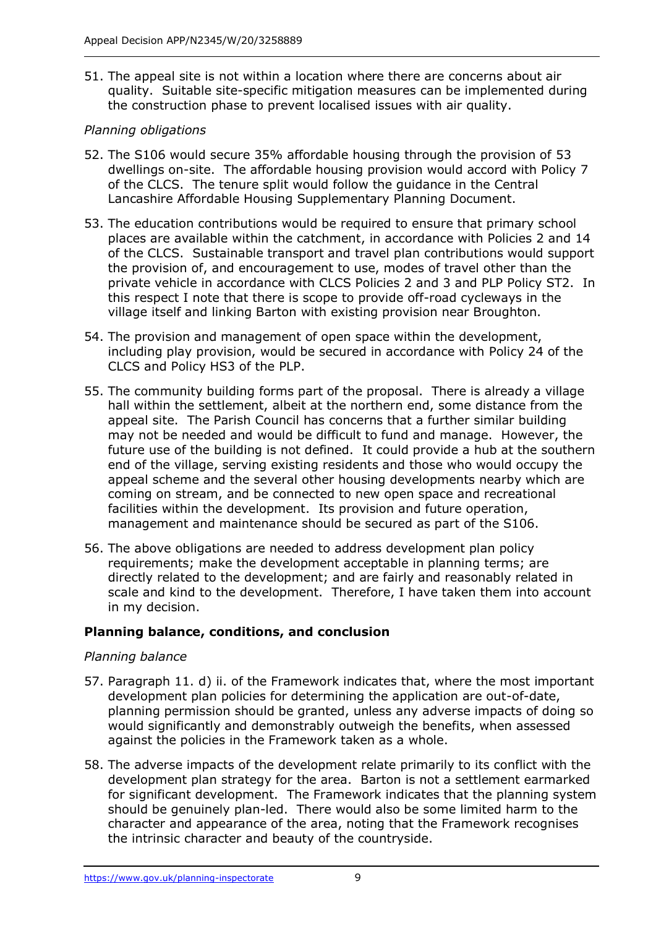51. The appeal site is not within a location where there are concerns about air quality. Suitable site-specific mitigation measures can be implemented during the construction phase to prevent localised issues with air quality.

## *Planning obligations*

- 52. The S106 would secure 35% affordable housing through the provision of 53 dwellings on-site. The affordable housing provision would accord with Policy 7 of the CLCS. The tenure split would follow the guidance in the Central Lancashire Affordable Housing Supplementary Planning Document.
- 53. The education contributions would be required to ensure that primary school places are available within the catchment, in accordance with Policies 2 and 14 of the CLCS. Sustainable transport and travel plan contributions would support the provision of, and encouragement to use, modes of travel other than the private vehicle in accordance with CLCS Policies 2 and 3 and PLP Policy ST2. In this respect I note that there is scope to provide off-road cycleways in the village itself and linking Barton with existing provision near Broughton.
- 54. The provision and management of open space within the development, including play provision, would be secured in accordance with Policy 24 of the CLCS and Policy HS3 of the PLP.
- 55. The community building forms part of the proposal. There is already a village hall within the settlement, albeit at the northern end, some distance from the appeal site. The Parish Council has concerns that a further similar building may not be needed and would be difficult to fund and manage. However, the future use of the building is not defined. It could provide a hub at the southern end of the village, serving existing residents and those who would occupy the appeal scheme and the several other housing developments nearby which are coming on stream, and be connected to new open space and recreational facilities within the development. Its provision and future operation, management and maintenance should be secured as part of the S106.
- 56. The above obligations are needed to address development plan policy requirements; make the development acceptable in planning terms; are directly related to the development; and are fairly and reasonably related in scale and kind to the development. Therefore, I have taken them into account in my decision.

## **Planning balance, conditions, and conclusion**

## *Planning balance*

- 57. Paragraph 11. d) ii. of the Framework indicates that, where the most important development plan policies for determining the application are out-of-date, planning permission should be granted, unless any adverse impacts of doing so would significantly and demonstrably outweigh the benefits, when assessed against the policies in the Framework taken as a whole.
- 58. The adverse impacts of the development relate primarily to its conflict with the development plan strategy for the area. Barton is not a settlement earmarked for significant development. The Framework indicates that the planning system should be genuinely plan-led. There would also be some limited harm to the character and appearance of the area, noting that the Framework recognises the intrinsic character and beauty of the countryside.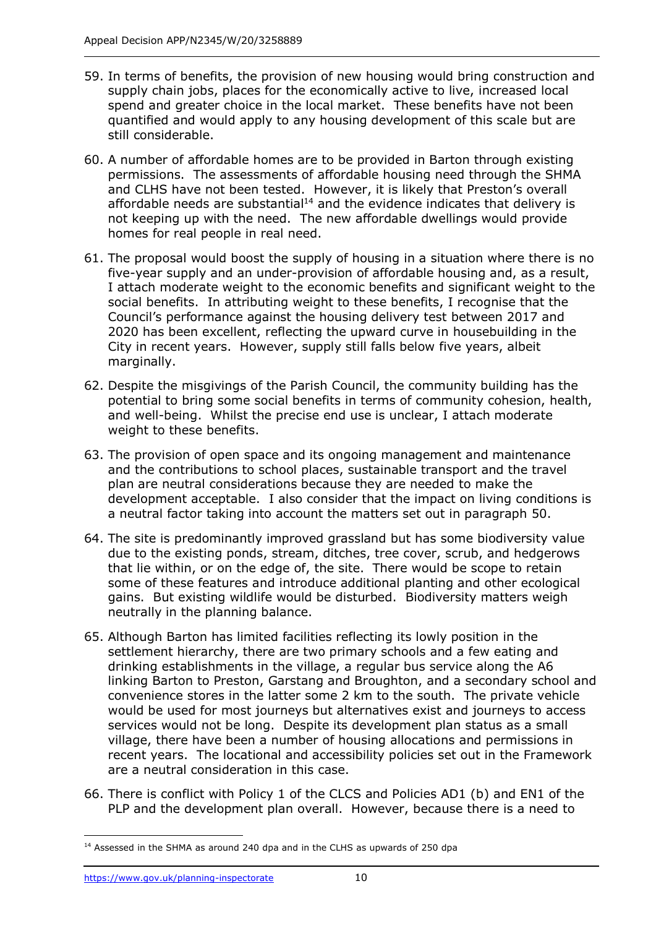- 59. In terms of benefits, the provision of new housing would bring construction and supply chain jobs, places for the economically active to live, increased local spend and greater choice in the local market. These benefits have not been quantified and would apply to any housing development of this scale but are still considerable.
- 60. A number of affordable homes are to be provided in Barton through existing permissions. The assessments of affordable housing need through the SHMA and CLHS have not been tested. However, it is likely that Preston's overall affordable needs are substantial<sup>14</sup> and the evidence indicates that delivery is not keeping up with the need. The new affordable dwellings would provide homes for real people in real need.
- 61. The proposal would boost the supply of housing in a situation where there is no five-year supply and an under-provision of affordable housing and, as a result, I attach moderate weight to the economic benefits and significant weight to the social benefits. In attributing weight to these benefits, I recognise that the Council's performance against the housing delivery test between 2017 and 2020 has been excellent, reflecting the upward curve in housebuilding in the City in recent years. However, supply still falls below five years, albeit marginally.
- 62. Despite the misgivings of the Parish Council, the community building has the potential to bring some social benefits in terms of community cohesion, health, and well-being. Whilst the precise end use is unclear, I attach moderate weight to these benefits.
- 63. The provision of open space and its ongoing management and maintenance and the contributions to school places, sustainable transport and the travel plan are neutral considerations because they are needed to make the development acceptable. I also consider that the impact on living conditions is a neutral factor taking into account the matters set out in paragraph 50.
- 64. The site is predominantly improved grassland but has some biodiversity value due to the existing ponds, stream, ditches, tree cover, scrub, and hedgerows that lie within, or on the edge of, the site. There would be scope to retain some of these features and introduce additional planting and other ecological gains. But existing wildlife would be disturbed. Biodiversity matters weigh neutrally in the planning balance.
- 65. Although Barton has limited facilities reflecting its lowly position in the settlement hierarchy, there are two primary schools and a few eating and drinking establishments in the village, a regular bus service along the A6 linking Barton to Preston, Garstang and Broughton, and a secondary school and convenience stores in the latter some 2 km to the south. The private vehicle would be used for most journeys but alternatives exist and journeys to access services would not be long. Despite its development plan status as a small village, there have been a number of housing allocations and permissions in recent years. The locational and accessibility policies set out in the Framework are a neutral consideration in this case.
- 66. There is conflict with Policy 1 of the CLCS and Policies AD1 (b) and EN1 of the PLP and the development plan overall. However, because there is a need to

<sup>&</sup>lt;sup>14</sup> Assessed in the SHMA as around 240 dpa and in the CLHS as upwards of 250 dpa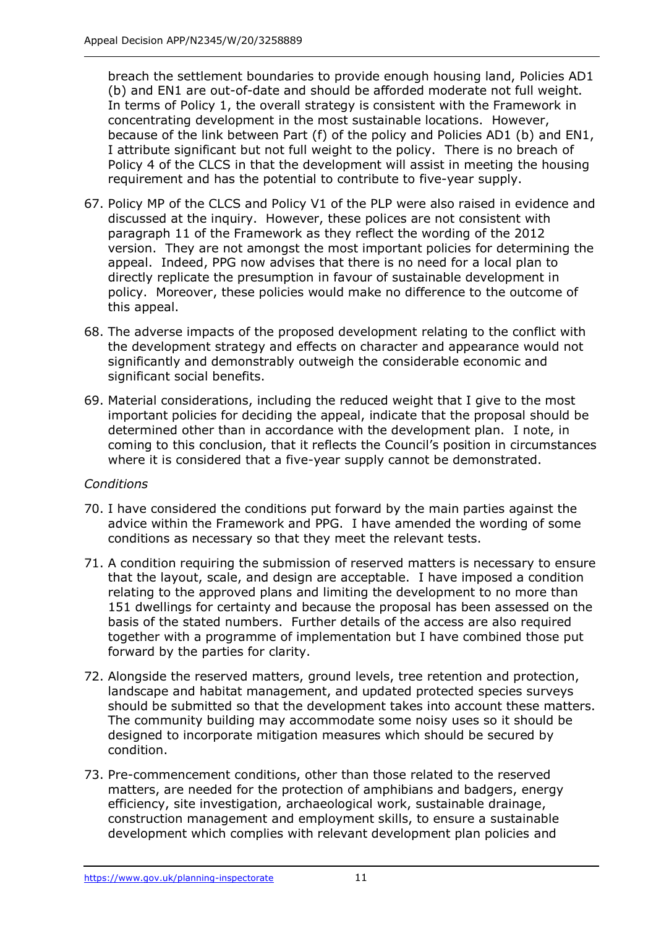breach the settlement boundaries to provide enough housing land, Policies AD1 (b) and EN1 are out-of-date and should be afforded moderate not full weight. In terms of Policy 1, the overall strategy is consistent with the Framework in concentrating development in the most sustainable locations. However, because of the link between Part (f) of the policy and Policies AD1 (b) and EN1, I attribute significant but not full weight to the policy. There is no breach of Policy 4 of the CLCS in that the development will assist in meeting the housing requirement and has the potential to contribute to five-year supply.

- 67. Policy MP of the CLCS and Policy V1 of the PLP were also raised in evidence and discussed at the inquiry. However, these polices are not consistent with paragraph 11 of the Framework as they reflect the wording of the 2012 version. They are not amongst the most important policies for determining the appeal. Indeed, PPG now advises that there is no need for a local plan to directly replicate the presumption in favour of sustainable development in policy. Moreover, these policies would make no difference to the outcome of this appeal.
- 68. The adverse impacts of the proposed development relating to the conflict with the development strategy and effects on character and appearance would not significantly and demonstrably outweigh the considerable economic and significant social benefits.
- 69. Material considerations, including the reduced weight that I give to the most important policies for deciding the appeal, indicate that the proposal should be determined other than in accordance with the development plan. I note, in coming to this conclusion, that it reflects the Council's position in circumstances where it is considered that a five-year supply cannot be demonstrated.

#### *Conditions*

- 70. I have considered the conditions put forward by the main parties against the advice within the Framework and PPG. I have amended the wording of some conditions as necessary so that they meet the relevant tests.
- 71. A condition requiring the submission of reserved matters is necessary to ensure that the layout, scale, and design are acceptable. I have imposed a condition relating to the approved plans and limiting the development to no more than 151 dwellings for certainty and because the proposal has been assessed on the basis of the stated numbers. Further details of the access are also required together with a programme of implementation but I have combined those put forward by the parties for clarity.
- 72. Alongside the reserved matters, ground levels, tree retention and protection, landscape and habitat management, and updated protected species surveys should be submitted so that the development takes into account these matters. The community building may accommodate some noisy uses so it should be designed to incorporate mitigation measures which should be secured by condition.
- 73. Pre-commencement conditions, other than those related to the reserved matters, are needed for the protection of amphibians and badgers, energy efficiency, site investigation, archaeological work, sustainable drainage, construction management and employment skills, to ensure a sustainable development which complies with relevant development plan policies and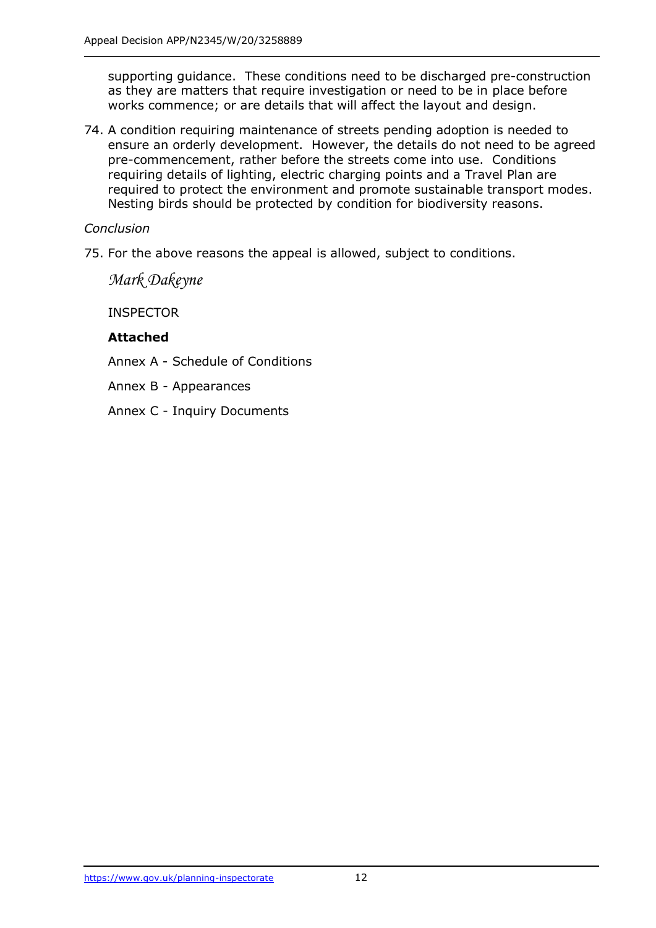supporting guidance. These conditions need to be discharged pre-construction as they are matters that require investigation or need to be in place before works commence; or are details that will affect the layout and design.

74. A condition requiring maintenance of streets pending adoption is needed to ensure an orderly development. However, the details do not need to be agreed pre-commencement, rather before the streets come into use. Conditions requiring details of lighting, electric charging points and a Travel Plan are required to protect the environment and promote sustainable transport modes. Nesting birds should be protected by condition for biodiversity reasons.

## *Conclusion*

75. For the above reasons the appeal is allowed, subject to conditions.

*Mark Dakeyne*

INSPECTOR

#### **Attached**

Annex A - Schedule of Conditions

Annex B - Appearances

Annex C - Inquiry Documents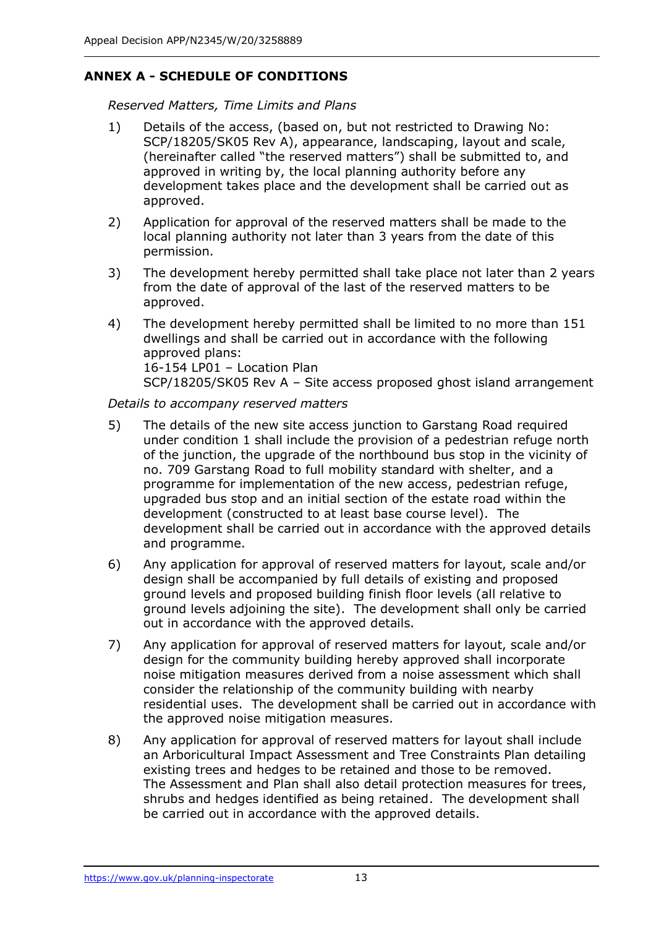## **ANNEX A - SCHEDULE OF CONDITIONS**

*Reserved Matters, Time Limits and Plans*

- 1) Details of the access, (based on, but not restricted to Drawing No: SCP/18205/SK05 Rev A), appearance, landscaping, layout and scale, (hereinafter called "the reserved matters") shall be submitted to, and approved in writing by, the local planning authority before any development takes place and the development shall be carried out as approved.
- 2) Application for approval of the reserved matters shall be made to the local planning authority not later than 3 years from the date of this permission.
- 3) The development hereby permitted shall take place not later than 2 years from the date of approval of the last of the reserved matters to be approved.
- 4) The development hereby permitted shall be limited to no more than 151 dwellings and shall be carried out in accordance with the following approved plans: 16-154 LP01 – Location Plan SCP/18205/SK05 Rev A – Site access proposed ghost island arrangement

#### *Details to accompany reserved matters*

- 5) The details of the new site access junction to Garstang Road required under condition 1 shall include the provision of a pedestrian refuge north of the junction, the upgrade of the northbound bus stop in the vicinity of no. 709 Garstang Road to full mobility standard with shelter, and a programme for implementation of the new access, pedestrian refuge, upgraded bus stop and an initial section of the estate road within the development (constructed to at least base course level). The development shall be carried out in accordance with the approved details and programme.
- 6) Any application for approval of reserved matters for layout, scale and/or design shall be accompanied by full details of existing and proposed ground levels and proposed building finish floor levels (all relative to ground levels adjoining the site). The development shall only be carried out in accordance with the approved details.
- 7) Any application for approval of reserved matters for layout, scale and/or design for the community building hereby approved shall incorporate noise mitigation measures derived from a noise assessment which shall consider the relationship of the community building with nearby residential uses. The development shall be carried out in accordance with the approved noise mitigation measures.
- 8) Any application for approval of reserved matters for layout shall include an Arboricultural Impact Assessment and Tree Constraints Plan detailing existing trees and hedges to be retained and those to be removed. The Assessment and Plan shall also detail protection measures for trees, shrubs and hedges identified as being retained. The development shall be carried out in accordance with the approved details.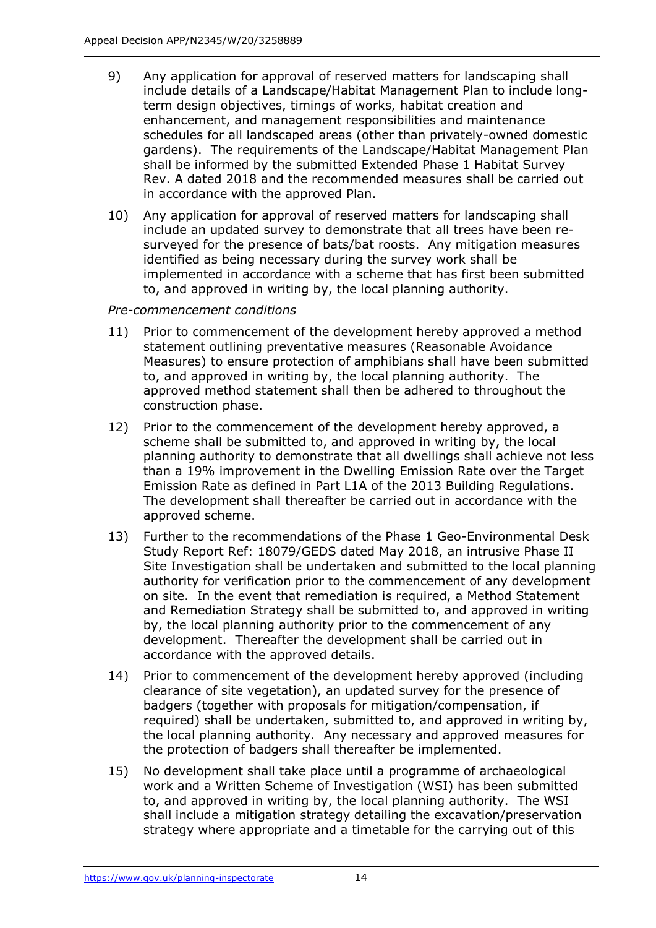- 9) Any application for approval of reserved matters for landscaping shall include details of a Landscape/Habitat Management Plan to include longterm design objectives, timings of works, habitat creation and enhancement, and management responsibilities and maintenance schedules for all landscaped areas (other than privately-owned domestic gardens). The requirements of the Landscape/Habitat Management Plan shall be informed by the submitted Extended Phase 1 Habitat Survey Rev. A dated 2018 and the recommended measures shall be carried out in accordance with the approved Plan.
- 10) Any application for approval of reserved matters for landscaping shall include an updated survey to demonstrate that all trees have been resurveyed for the presence of bats/bat roosts. Any mitigation measures identified as being necessary during the survey work shall be implemented in accordance with a scheme that has first been submitted to, and approved in writing by, the local planning authority.

### *Pre-commencement conditions*

- 11) Prior to commencement of the development hereby approved a method statement outlining preventative measures (Reasonable Avoidance Measures) to ensure protection of amphibians shall have been submitted to, and approved in writing by, the local planning authority. The approved method statement shall then be adhered to throughout the construction phase.
- 12) Prior to the commencement of the development hereby approved, a scheme shall be submitted to, and approved in writing by, the local planning authority to demonstrate that all dwellings shall achieve not less than a 19% improvement in the Dwelling Emission Rate over the Target Emission Rate as defined in Part L1A of the 2013 Building Regulations. The development shall thereafter be carried out in accordance with the approved scheme.
- 13) Further to the recommendations of the Phase 1 Geo-Environmental Desk Study Report Ref: 18079/GEDS dated May 2018, an intrusive Phase II Site Investigation shall be undertaken and submitted to the local planning authority for verification prior to the commencement of any development on site. In the event that remediation is required, a Method Statement and Remediation Strategy shall be submitted to, and approved in writing by, the local planning authority prior to the commencement of any development. Thereafter the development shall be carried out in accordance with the approved details.
- 14) Prior to commencement of the development hereby approved (including clearance of site vegetation), an updated survey for the presence of badgers (together with proposals for mitigation/compensation, if required) shall be undertaken, submitted to, and approved in writing by, the local planning authority. Any necessary and approved measures for the protection of badgers shall thereafter be implemented.
- 15) No development shall take place until a programme of archaeological work and a Written Scheme of Investigation (WSI) has been submitted to, and approved in writing by, the local planning authority. The WSI shall include a mitigation strategy detailing the excavation/preservation strategy where appropriate and a timetable for the carrying out of this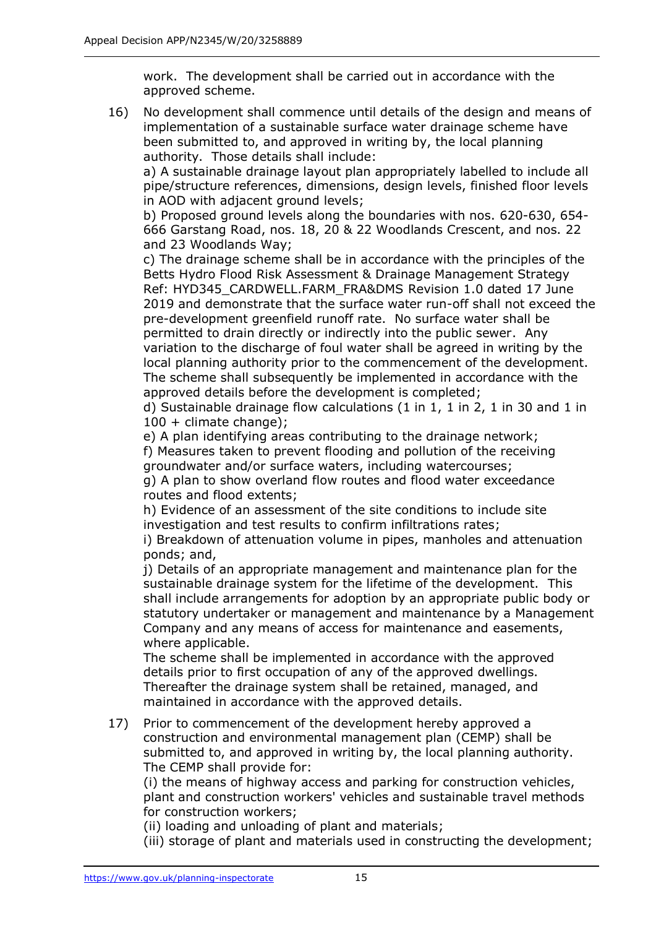work. The development shall be carried out in accordance with the approved scheme.

16) No development shall commence until details of the design and means of implementation of a sustainable surface water drainage scheme have been submitted to, and approved in writing by, the local planning authority. Those details shall include:

a) A sustainable drainage layout plan appropriately labelled to include all pipe/structure references, dimensions, design levels, finished floor levels in AOD with adjacent ground levels;

b) Proposed ground levels along the boundaries with nos. 620-630, 654- 666 Garstang Road, nos. 18, 20 & 22 Woodlands Crescent, and nos. 22 and 23 Woodlands Way;

c) The drainage scheme shall be in accordance with the principles of the Betts Hydro Flood Risk Assessment & Drainage Management Strategy Ref: HYD345\_CARDWELL.FARM\_FRA&DMS Revision 1.0 dated 17 June 2019 and demonstrate that the surface water run-off shall not exceed the pre-development greenfield runoff rate. No surface water shall be permitted to drain directly or indirectly into the public sewer. Any variation to the discharge of foul water shall be agreed in writing by the local planning authority prior to the commencement of the development. The scheme shall subsequently be implemented in accordance with the approved details before the development is completed;

d) Sustainable drainage flow calculations (1 in 1, 1 in 2, 1 in 30 and 1 in 100 + climate change);

e) A plan identifying areas contributing to the drainage network;

f) Measures taken to prevent flooding and pollution of the receiving groundwater and/or surface waters, including watercourses;

g) A plan to show overland flow routes and flood water exceedance routes and flood extents;

h) Evidence of an assessment of the site conditions to include site investigation and test results to confirm infiltrations rates;

i) Breakdown of attenuation volume in pipes, manholes and attenuation ponds; and,

j) Details of an appropriate management and maintenance plan for the sustainable drainage system for the lifetime of the development. This shall include arrangements for adoption by an appropriate public body or statutory undertaker or management and maintenance by a Management Company and any means of access for maintenance and easements, where applicable.

The scheme shall be implemented in accordance with the approved details prior to first occupation of any of the approved dwellings. Thereafter the drainage system shall be retained, managed, and maintained in accordance with the approved details.

17) Prior to commencement of the development hereby approved a construction and environmental management plan (CEMP) shall be submitted to, and approved in writing by, the local planning authority. The CEMP shall provide for:

(i) the means of highway access and parking for construction vehicles, plant and construction workers' vehicles and sustainable travel methods for construction workers;

(ii) loading and unloading of plant and materials;

(iii) storage of plant and materials used in constructing the development;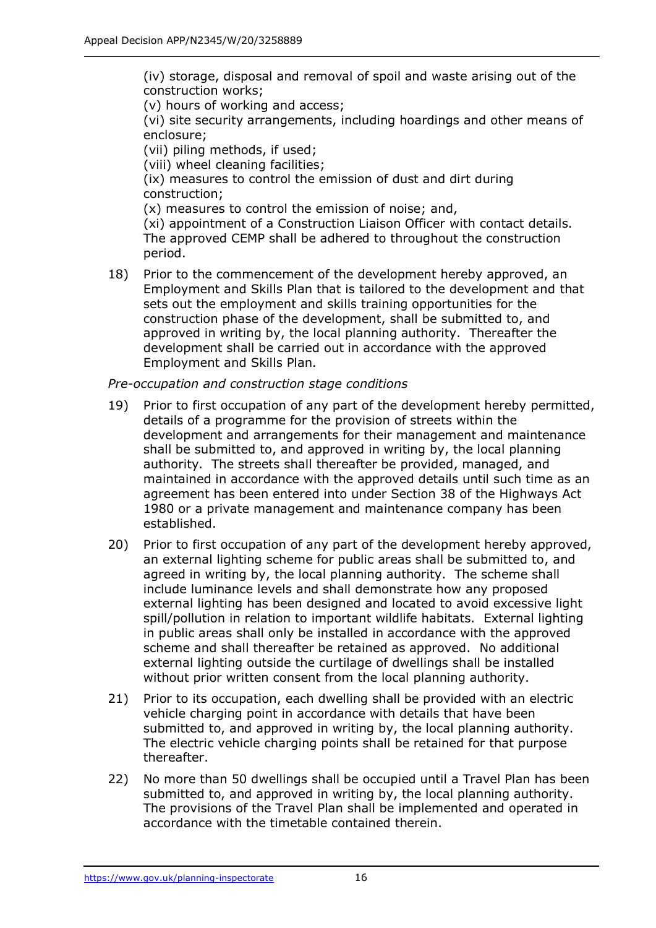(iv) storage, disposal and removal of spoil and waste arising out of the construction works;

(v) hours of working and access;

(vi) site security arrangements, including hoardings and other means of enclosure;

(vii) piling methods, if used;

(viii) wheel cleaning facilities;

(ix) measures to control the emission of dust and dirt during construction;

(x) measures to control the emission of noise; and,

(xi) appointment of a Construction Liaison Officer with contact details. The approved CEMP shall be adhered to throughout the construction period.

18) Prior to the commencement of the development hereby approved, an Employment and Skills Plan that is tailored to the development and that sets out the employment and skills training opportunities for the construction phase of the development, shall be submitted to, and approved in writing by, the local planning authority. Thereafter the development shall be carried out in accordance with the approved Employment and Skills Plan.

### *Pre-occupation and construction stage conditions*

- 19) Prior to first occupation of any part of the development hereby permitted, details of a programme for the provision of streets within the development and arrangements for their management and maintenance shall be submitted to, and approved in writing by, the local planning authority. The streets shall thereafter be provided, managed, and maintained in accordance with the approved details until such time as an agreement has been entered into under Section 38 of the Highways Act 1980 or a private management and maintenance company has been established.
- 20) Prior to first occupation of any part of the development hereby approved, an external lighting scheme for public areas shall be submitted to, and agreed in writing by, the local planning authority. The scheme shall include luminance levels and shall demonstrate how any proposed external lighting has been designed and located to avoid excessive light spill/pollution in relation to important wildlife habitats. External lighting in public areas shall only be installed in accordance with the approved scheme and shall thereafter be retained as approved. No additional external lighting outside the curtilage of dwellings shall be installed without prior written consent from the local planning authority.
- 21) Prior to its occupation, each dwelling shall be provided with an electric vehicle charging point in accordance with details that have been submitted to, and approved in writing by, the local planning authority. The electric vehicle charging points shall be retained for that purpose thereafter.
- 22) No more than 50 dwellings shall be occupied until a Travel Plan has been submitted to, and approved in writing by, the local planning authority. The provisions of the Travel Plan shall be implemented and operated in accordance with the timetable contained therein.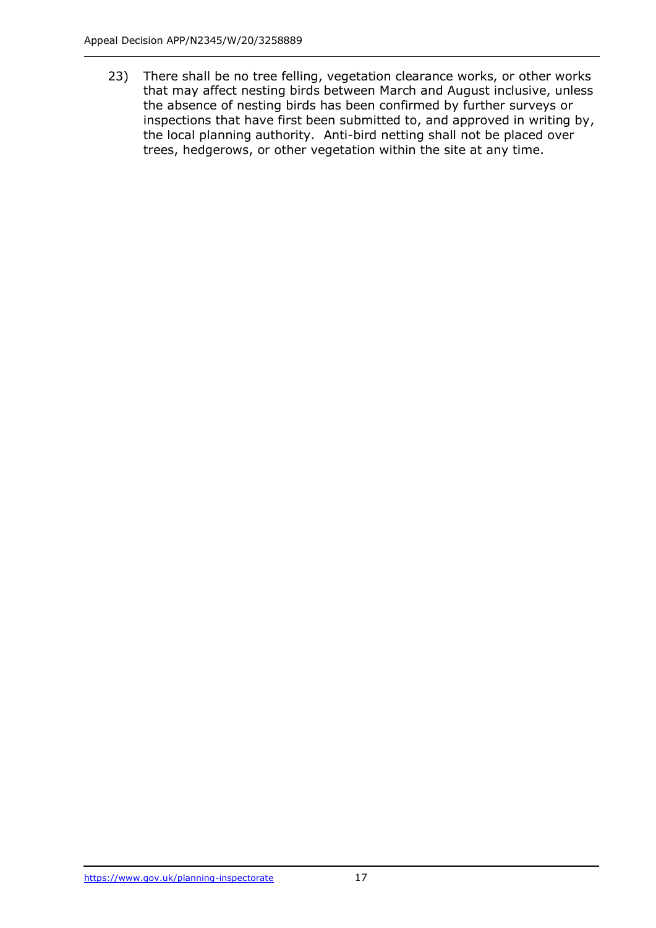23) There shall be no tree felling, vegetation clearance works, or other works that may affect nesting birds between March and August inclusive, unless the absence of nesting birds has been confirmed by further surveys or inspections that have first been submitted to, and approved in writing by, the local planning authority. Anti-bird netting shall not be placed over trees, hedgerows, or other vegetation within the site at any time.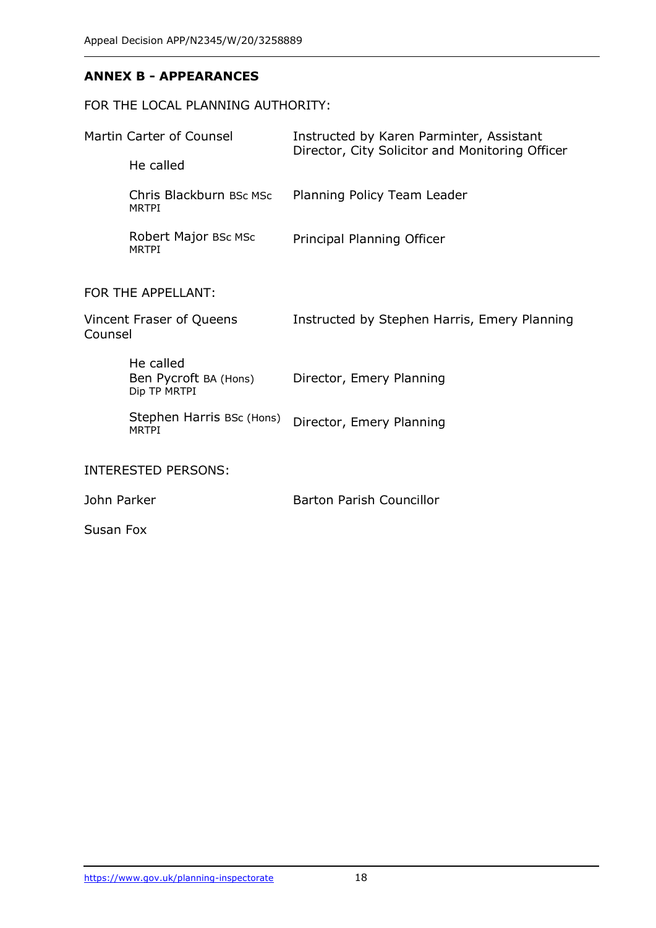## **ANNEX B - APPEARANCES**

# FOR THE LOCAL PLANNING AUTHORITY:

| Martin Carter of Counsel<br>He called |                                                    | Instructed by Karen Parminter, Assistant<br>Director, City Solicitor and Monitoring Officer |
|---------------------------------------|----------------------------------------------------|---------------------------------------------------------------------------------------------|
|                                       | Chris Blackburn BSc MSc<br><b>MRTPI</b>            | Planning Policy Team Leader                                                                 |
|                                       | Robert Major BSc MSc<br><b>MRTPI</b>               | Principal Planning Officer                                                                  |
| FOR THE APPELLANT:                    |                                                    |                                                                                             |
| Vincent Fraser of Queens<br>Counsel   |                                                    | Instructed by Stephen Harris, Emery Planning                                                |
|                                       | He called<br>Ben Pycroft BA (Hons)<br>Dip TP MRTPI | Director, Emery Planning                                                                    |
|                                       | Stephen Harris BSc (Hons)<br><b>MRTPI</b>          | Director, Emery Planning                                                                    |
|                                       | INTERESTED PERSONS:                                |                                                                                             |
| John Parker                           |                                                    | <b>Barton Parish Councillor</b>                                                             |
| Susan Fox                             |                                                    |                                                                                             |